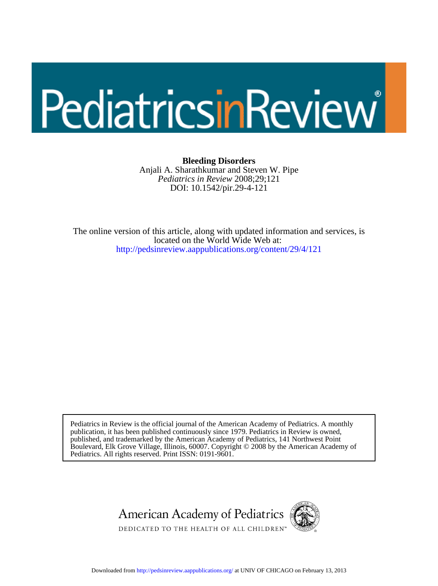# PediatricsinReview

DOI: 10.1542/pir.29-4-121 *Pediatrics in Review* 2008;29;121 Anjali A. Sharathkumar and Steven W. Pipe **Bleeding Disorders**

<http://pedsinreview.aappublications.org/content/29/4/121> located on the World Wide Web at: The online version of this article, along with updated information and services, is

Pediatrics. All rights reserved. Print ISSN: 0191-9601. Boulevard, Elk Grove Village, Illinois, 60007. Copyright © 2008 by the American Academy of published, and trademarked by the American Academy of Pediatrics, 141 Northwest Point publication, it has been published continuously since 1979. Pediatrics in Review is owned, Pediatrics in Review is the official journal of the American Academy of Pediatrics. A monthly

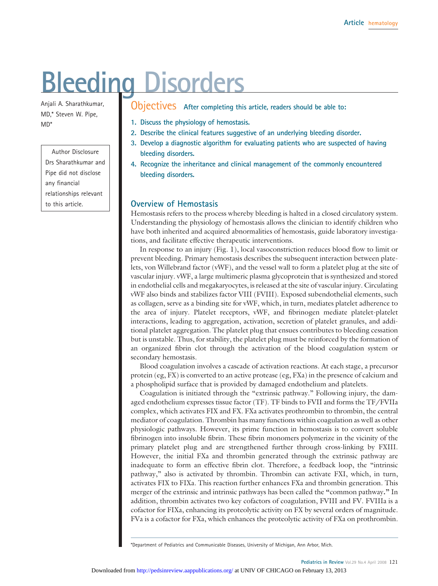# **Bleeding Disorders**

Anjali A. Sharathkumar, MD,\* Steven W. Pipe, MD\*

Author Disclosure Drs Sharathkumar and Pipe did not disclose any financial relationships relevant to this article.

Objectives **After completing this article, readers should be able to:**

- **1. Discuss the physiology of hemostasis.**
- **2. Describe the clinical features suggestive of an underlying bleeding disorder.**
- **3. Develop a diagnostic algorithm for evaluating patients who are suspected of having bleeding disorders.**
- **4. Recognize the inheritance and clinical management of the commonly encountered bleeding disorders.**

# **Overview of Hemostasis**

Hemostasis refers to the process whereby bleeding is halted in a closed circulatory system. Understanding the physiology of hemostasis allows the clinician to identify children who have both inherited and acquired abnormalities of hemostasis, guide laboratory investigations, and facilitate effective therapeutic interventions.

In response to an injury (Fig. 1), local vasoconstriction reduces blood flow to limit or prevent bleeding. Primary hemostasis describes the subsequent interaction between platelets, von Willebrand factor (vWF), and the vessel wall to form a platelet plug at the site of vascular injury. vWF, a large multimeric plasma glycoprotein that is synthesized and stored in endothelial cells and megakaryocytes, is released at the site of vascular injury. Circulating vWF also binds and stabilizes factor VIII (FVIII). Exposed subendothelial elements, such as collagen, serve as a binding site for vWF, which, in turn, mediates platelet adherence to the area of injury. Platelet receptors, vWF, and fibrinogen mediate platelet-platelet interactions, leading to aggregation, activation, secretion of platelet granules, and additional platelet aggregation. The platelet plug that ensues contributes to bleeding cessation but is unstable. Thus, for stability, the platelet plug must be reinforced by the formation of an organized fibrin clot through the activation of the blood coagulation system or secondary hemostasis.

Blood coagulation involves a cascade of activation reactions. At each stage, a precursor protein (eg, FX) is converted to an active protease (eg, FXa) in the presence of calcium and a phospholipid surface that is provided by damaged endothelium and platelets.

Coagulation is initiated through the "extrinsic pathway." Following injury, the damaged endothelium expresses tissue factor (TF). TF binds to FVII and forms the TF/FVIIa complex, which activates FIX and FX. FXa activates prothrombin to thrombin, the central mediator of coagulation. Thrombin has many functions within coagulation as well as other physiologic pathways. However, its prime function in hemostasis is to convert soluble fibrinogen into insoluble fibrin. These fibrin monomers polymerize in the vicinity of the primary platelet plug and are strengthened further through cross-linking by FXIII. However, the initial FXa and thrombin generated through the extrinsic pathway are inadequate to form an effective fibrin clot. Therefore, a feedback loop, the "intrinsic pathway," also is activated by thrombin. Thrombin can activate FXI, which, in turn, activates FIX to FIXa. This reaction further enhances FXa and thrombin generation. This merger of the extrinsic and intrinsic pathways has been called the **"**common pathway**."** In addition, thrombin activates two key cofactors of coagulation, FVIII and FV. FVIIIa is a cofactor for FIXa, enhancing its proteolytic activity on FX by several orders of magnitude. FVa is a cofactor for FXa, which enhances the proteolytic activity of FXa on prothrombin.

<sup>\*</sup>Department of Pediatrics and Communicable Diseases, University of Michigan, Ann Arbor, Mich.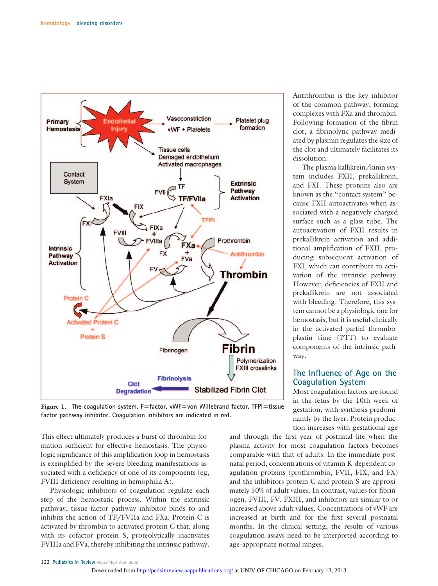

**Figure 1. The coagulation system. Ffactor, vWFvon Willebrand factor, TFPItissue factor pathway inhibitor. Coagulation inhibitors are indicated in red.**

This effect ultimately produces a burst of thrombin formation sufficient for effective hemostasis. The physiologic significance of this amplification loop in hemostasis is exemplified by the severe bleeding manifestations associated with a deficiency of one of its components (eg, FVIII deficiency resulting in hemophilia A).

Physiologic inhibitors of coagulation regulate each step of the hemostatic process. Within the extrinsic pathway, tissue factor pathway inhibitor binds to and inhibits the action of TF/FVIIa and FXa. Protein C is activated by thrombin to activated protein C that, along with its cofactor protein S, proteolytically inactivates FVIIIa and FVa, thereby inhibiting the intrinsic pathway. Antithrombin is the key inhibitor of the common pathway, forming complexes with FXa and thrombin. Following formation of the fibrin clot, a fibrinolytic pathway mediated by plasmin regulates the size of the clot and ultimately facilitates its dissolution.

The plasma kallikrein/kinin system includes FXII, prekallikrein, and FXI. These proteins also are known as the "contact system" because FXII autoactivates when associated with a negatively charged surface such as a glass tube. The autoactivation of FXII results in prekallikrein activation and additional amplification of FXII, producing subsequent activation of FXI, which can contribute to activation of the intrinsic pathway. However, deficiencies of FXII and prekallikrein are not associated with bleeding. Therefore, this system cannot be a physiologic one for hemostasis, but it is useful clinically in the activated partial thromboplastin time (PTT) to evaluate components of the intrinsic pathway.

# **The Influence of Age on the Coagulation System**

Most coagulation factors are found in the fetus by the 10th week of gestation, with synthesis predominantly by the liver. Protein production increases with gestational age

and through the first year of postnatal life when the plasma activity for most coagulation factors becomes comparable with that of adults. In the immediate postnatal period, concentrations of vitamin K-dependent coagulation proteins (prothrombin, FVII, FIX, and FX) and the inhibitors protein C and protein S are approximately 50% of adult values. In contrast, values for fibrinogen, FVIII, FV, FXIII, and inhibitors are similar to or increased above adult values. Concentrations of vWF are increased at birth and for the first several postnatal months. In the clinical setting, the results of various coagulation assays need to be interpreted according to age-appropriate normal ranges.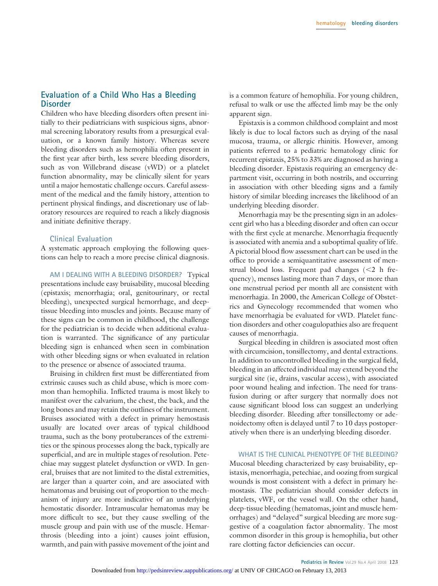# **Evaluation of a Child Who Has a Bleeding Disorder**

Children who have bleeding disorders often present initially to their pediatricians with suspicious signs, abnormal screening laboratory results from a presurgical evaluation, or a known family history. Whereas severe bleeding disorders such as hemophilia often present in the first year after birth, less severe bleeding disorders, such as von Willebrand disease (vWD) or a platelet function abnormality, may be clinically silent for years until a major hemostatic challenge occurs. Careful assessment of the medical and the family history, attention to pertinent physical findings, and discretionary use of laboratory resources are required to reach a likely diagnosis and initiate definitive therapy.

### **Clinical Evaluation**

A systematic approach employing the following questions can help to reach a more precise clinical diagnosis.

**AM I DEALING WITH A BLEEDING DISORDER?** Typical presentations include easy bruisability, mucosal bleeding (epistaxis; menorrhagia; oral, genitourinary, or rectal bleeding), unexpected surgical hemorrhage, and deeptissue bleeding into muscles and joints. Because many of these signs can be common in childhood, the challenge for the pediatrician is to decide when additional evaluation is warranted. The significance of any particular bleeding sign is enhanced when seen in combination with other bleeding signs or when evaluated in relation to the presence or absence of associated trauma.

Bruising in children first must be differentiated from extrinsic causes such as child abuse, which is more common than hemophilia. Inflicted trauma is most likely to manifest over the calvarium, the chest, the back, and the long bones and may retain the outlines of the instrument. Bruises associated with a defect in primary hemostasis usually are located over areas of typical childhood trauma, such as the bony protuberances of the extremities or the spinous processes along the back, typically are superficial, and are in multiple stages of resolution. Petechiae may suggest platelet dysfunction or vWD. In general, bruises that are not limited to the distal extremities, are larger than a quarter coin, and are associated with hematomas and bruising out of proportion to the mechanism of injury are more indicative of an underlying hemostatic disorder. Intramuscular hematomas may be more difficult to see, but they cause swelling of the muscle group and pain with use of the muscle. Hemarthrosis (bleeding into a joint) causes joint effusion, warmth, and pain with passive movement of the joint and

is a common feature of hemophilia. For young children, refusal to walk or use the affected limb may be the only apparent sign.

Epistaxis is a common childhood complaint and most likely is due to local factors such as drying of the nasal mucosa, trauma, or allergic rhinitis. However, among patients referred to a pediatric hematology clinic for recurrent epistaxis, 25% to 33% are diagnosed as having a bleeding disorder. Epistaxis requiring an emergency department visit, occurring in both nostrils, and occurring in association with other bleeding signs and a family history of similar bleeding increases the likelihood of an underlying bleeding disorder.

Menorrhagia may be the presenting sign in an adolescent girl who has a bleeding disorder and often can occur with the first cycle at menarche. Menorrhagia frequently is associated with anemia and a suboptimal quality of life. A pictorial blood flow assessment chart can be used in the office to provide a semiquantitative assessment of menstrual blood loss. Frequent pad changes  $\leq 2$  h frequency), menses lasting more than 7 days, or more than one menstrual period per month all are consistent with menorrhagia. In 2000, the American College of Obstetrics and Gynecology recommended that women who have menorrhagia be evaluated for vWD. Platelet function disorders and other coagulopathies also are frequent causes of menorrhagia.

Surgical bleeding in children is associated most often with circumcision, tonsillectomy, and dental extractions. In addition to uncontrolled bleeding in the surgical field, bleeding in an affected individual may extend beyond the surgical site (ie, drains, vascular access), with associated poor wound healing and infection. The need for transfusion during or after surgery that normally does not cause significant blood loss can suggest an underlying bleeding disorder. Bleeding after tonsillectomy or adenoidectomy often is delayed until 7 to 10 days postoperatively when there is an underlying bleeding disorder.

#### **WHAT IS THE CLINICAL PHENOTYPE OF THE BLEEDING?**

Mucosal bleeding characterized by easy bruisability, epistaxis, menorrhagia, petechiae, and oozing from surgical wounds is most consistent with a defect in primary hemostasis. The pediatrician should consider defects in platelets, vWF, or the vessel wall. On the other hand, deep-tissue bleeding (hematomas, joint and muscle hemorrhages) and "delayed" surgical bleeding are more suggestive of a coagulation factor abnormality. The most common disorder in this group is hemophilia, but other rare clotting factor deficiencies can occur.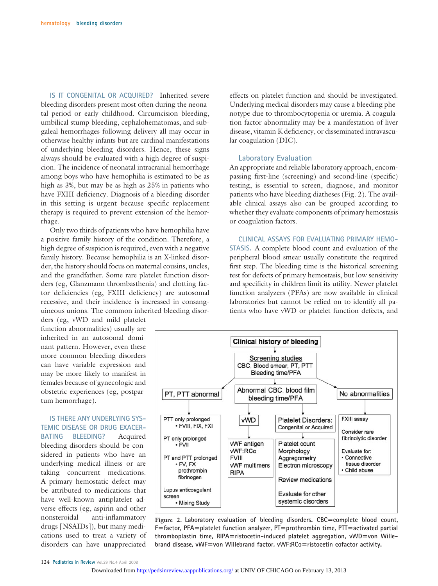**IS IT CONGENITAL OR ACQUIRED?** Inherited severe bleeding disorders present most often during the neonatal period or early childhood. Circumcision bleeding, umbilical stump bleeding, cephalohematomas, and subgaleal hemorrhages following delivery all may occur in otherwise healthy infants but are cardinal manifestations of underlying bleeding disorders. Hence, these signs always should be evaluated with a high degree of suspicion. The incidence of neonatal intracranial hemorrhage among boys who have hemophilia is estimated to be as high as 3%, but may be as high as 25% in patients who have FXIII deficiency. Diagnosis of a bleeding disorder in this setting is urgent because specific replacement therapy is required to prevent extension of the hemorrhage.

Only two thirds of patients who have hemophilia have a positive family history of the condition. Therefore, a high degree of suspicion is required, even with a negative family history. Because hemophilia is an X-linked disorder, the history should focus on maternal cousins, uncles, and the grandfather. Some rare platelet function disorders (eg, Glanzmann thrombasthenia) and clotting factor deficiencies (eg, FXIII deficiency) are autosomal recessive, and their incidence is increased in consanguineous unions. The common inherited bleeding disor-

ders (eg, vWD and mild platelet function abnormalities) usually are inherited in an autosomal dominant pattern. However, even these more common bleeding disorders can have variable expression and may be more likely to manifest in females because of gynecologic and obstetric experiences (eg, postpartum hemorrhage).

**IS THERE ANY UNDERLYING SYS-TEMIC DISEASE OR DRUG EXACER-BATING BLEEDING?** Acquired bleeding disorders should be considered in patients who have an underlying medical illness or are taking concurrent medications. A primary hemostatic defect may be attributed to medications that have well-known antiplatelet adverse effects (eg, aspirin and other nonsteroidal anti-inflammatory drugs [NSAIDs]), but many medications used to treat a variety of disorders can have unappreciated

effects on platelet function and should be investigated. Underlying medical disorders may cause a bleeding phenotype due to thrombocytopenia or uremia. A coagulation factor abnormality may be a manifestation of liver disease, vitamin K deficiency, or disseminated intravascular coagulation (DIC).

#### **Laboratory Evaluation**

An appropriate and reliable laboratory approach, encompassing first-line (screening) and second-line (specific) testing, is essential to screen, diagnose, and monitor patients who have bleeding diatheses (Fig. 2). The available clinical assays also can be grouped according to whether they evaluate components of primary hemostasis or coagulation factors.

**CLINICAL ASSAYS FOR EVALUATING PRIMARY HEMO-STASIS.** A complete blood count and evaluation of the peripheral blood smear usually constitute the required first step. The bleeding time is the historical screening test for defects of primary hemostasis, but low sensitivity and specificity in children limit its utility. Newer platelet function analyzers (PFAs) are now available in clinical laboratories but cannot be relied on to identify all patients who have vWD or platelet function defects, and



**Figure 2. Laboratory evaluation of bleeding disorders. CBCcomplete blood count, Ffactor, PFAplatelet function analyzer, PTprothrombin time, PTTactivated partial** thromboplastin time, RIPA=ristocetin-induced platelet aggregation, vWD=von Willebrand disease, vWF=von Willebrand factor, vWF:RCo=ristocetin cofactor activity.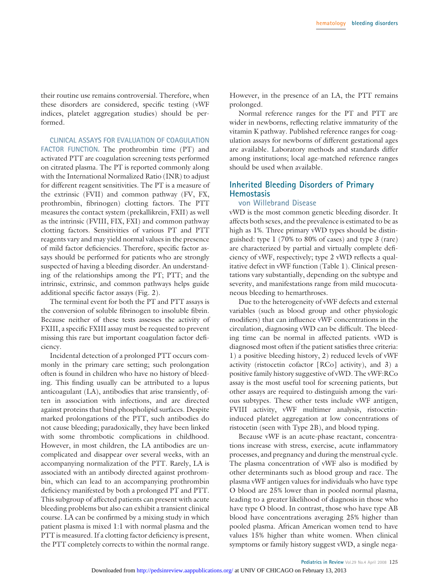their routine use remains controversial. Therefore, when these disorders are considered, specific testing (vWF indices, platelet aggregation studies) should be performed.

**CLINICAL ASSAYS FOR EVALUATION OF COAGULATION FACTOR FUNCTION.** The prothrombin time (PT) and activated PTT are coagulation screening tests performed on citrated plasma. The PT is reported commonly along with the International Normalized Ratio (INR) to adjust for different reagent sensitivities. The PT is a measure of the extrinsic (FVII) and common pathway (FV, FX, prothrombin, fibrinogen) clotting factors. The PTT measures the contact system (prekallikrein, FXII) as well as the intrinsic (FVIII, FIX, FXI) and common pathway clotting factors. Sensitivities of various PT and PTT reagents vary and may yield normal values in the presence of mild factor deficiencies. Therefore, specific factor assays should be performed for patients who are strongly suspected of having a bleeding disorder. An understanding of the relationships among the PT; PTT; and the intrinsic, extrinsic, and common pathways helps guide additional specific factor assays (Fig. 2).

The terminal event for both the PT and PTT assays is the conversion of soluble fibrinogen to insoluble fibrin. Because neither of these tests assesses the activity of FXIII, a specific FXIII assay must be requested to prevent missing this rare but important coagulation factor deficiency.

Incidental detection of a prolonged PTT occurs commonly in the primary care setting; such prolongation often is found in children who have no history of bleeding. This finding usually can be attributed to a lupus anticoagulant (LA), antibodies that arise transiently, often in association with infections, and are directed against proteins that bind phospholipid surfaces. Despite marked prolongations of the PTT, such antibodies do not cause bleeding; paradoxically, they have been linked with some thrombotic complications in childhood. However, in most children, the LA antibodies are uncomplicated and disappear over several weeks, with an accompanying normalization of the PTT. Rarely, LA is associated with an antibody directed against prothrombin, which can lead to an accompanying prothrombin deficiency manifested by both a prolonged PT and PTT. This subgroup of affected patients can present with acute bleeding problems but also can exhibit a transient clinical course. LA can be confirmed by a mixing study in which patient plasma is mixed 1:1 with normal plasma and the PTT is measured. If a clotting factor deficiency is present, the PTT completely corrects to within the normal range.

However, in the presence of an LA, the PTT remains prolonged.

Normal reference ranges for the PT and PTT are wider in newborns, reflecting relative immaturity of the vitamin K pathway. Published reference ranges for coagulation assays for newborns of different gestational ages are available. Laboratory methods and standards differ among institutions; local age-matched reference ranges should be used when available.

# **Inherited Bleeding Disorders of Primary Hemostasis**

#### **von Willebrand Disease**

vWD is the most common genetic bleeding disorder. It affects both sexes, and the prevalence is estimated to be as high as 1%. Three primary vWD types should be distinguished: type 1 (70% to 80% of cases) and type 3 (rare) are characterized by partial and virtually complete deficiency of vWF, respectively; type 2 vWD reflects a qualitative defect in vWF function (Table 1). Clinical presentations vary substantially, depending on the subtype and severity, and manifestations range from mild mucocutaneous bleeding to hemarthroses.

Due to the heterogeneity of vWF defects and external variables (such as blood group and other physiologic modifiers) that can influence vWF concentrations in the circulation, diagnosing vWD can be difficult. The bleeding time can be normal in affected patients. vWD is diagnosed most often if the patient satisfies three criteria: 1) a positive bleeding history, 2) reduced levels of vWF activity (ristocetin cofactor [RCo] activity), and 3) a positive family history suggestive of vWD. The vWF:RCo assay is the most useful tool for screening patients, but other assays are required to distinguish among the various subtypes. These other tests include vWF antigen, FVIII activity, vWF multimer analysis, ristocetininduced platelet aggregation at low concentrations of ristocetin (seen with Type 2B), and blood typing.

Because vWF is an acute-phase reactant, concentrations increase with stress, exercise, acute inflammatory processes, and pregnancy and during the menstrual cycle. The plasma concentration of vWF also is modified by other determinants such as blood group and race. The plasma vWF antigen values for individuals who have type O blood are 25% lower than in pooled normal plasma, leading to a greater likelihood of diagnosis in those who have type O blood. In contrast, those who have type AB blood have concentrations averaging 25% higher than pooled plasma. African American women tend to have values 15% higher than white women. When clinical symptoms or family history suggest vWD, a single nega-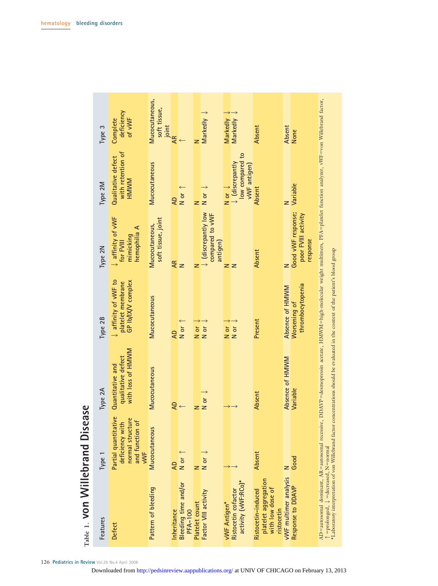| ×,<br>l |
|---------|
|         |
|         |
| ı       |
| I<br>ı  |
|         |
|         |
|         |
|         |
|         |
|         |
| ı       |
| Ĺ<br>l  |
| ı       |
| ı<br>Ï  |
|         |
| ı<br>í  |
|         |
|         |
| ı       |
|         |
| Í<br>I  |
|         |
| l       |
|         |
|         |
|         |

| $_{\text{Table 1.}}$ von Willebrand Dise                                     | ease                                                                                                  |                                                                                                                                                                                                                                                                                                                  |                                                                 |                                                             |                                                               |                                         |
|------------------------------------------------------------------------------|-------------------------------------------------------------------------------------------------------|------------------------------------------------------------------------------------------------------------------------------------------------------------------------------------------------------------------------------------------------------------------------------------------------------------------|-----------------------------------------------------------------|-------------------------------------------------------------|---------------------------------------------------------------|-----------------------------------------|
| Features                                                                     | Type 1                                                                                                | Type 2A                                                                                                                                                                                                                                                                                                          | Type 2B                                                         | Type 2N                                                     | Type 2M                                                       | Type 3                                  |
| Defect                                                                       | Partial quantitative<br>normal structure<br>$\sigma$<br>deficiency with<br>and function<br><b>VWF</b> | with loss of HMWM<br>qualitative defect<br>Quantitative and                                                                                                                                                                                                                                                      | ↓ affinity of vWF to<br>GP Ib/IX/V complex<br>platelet membrane | ↓ affinity of vWF<br>hemophilia A<br>mimicking<br>for FVIII | with retention of<br>Qualitative defect<br>HMWM               | deficiency<br>of vWF<br>Complete        |
| Pattern of bleeding                                                          | <b>Mucocutaneous</b>                                                                                  | Mucocutaneous                                                                                                                                                                                                                                                                                                    | Mucocutaneous                                                   | soft tissue, joint<br>Mucocutaneous,                        | Mucocutaneous                                                 | Mucocutaneous,<br>soft tissue,<br>joint |
| <b>Inheritance</b>                                                           | $\overline{4}$                                                                                        | Q                                                                                                                                                                                                                                                                                                                | $\overline{4}$                                                  | <b>AR</b>                                                   | $\overline{4}$                                                | <b>AR</b>                               |
| Bleeding time and/or<br><b>PFA-100</b>                                       | $\leftarrow$<br>N or                                                                                  | $\leftarrow$                                                                                                                                                                                                                                                                                                     | $\leftarrow$<br>$\overline{a}$                                  | $\overline{z}$                                              | $\leftarrow$<br>N or                                          | $\leftarrow$                            |
| Platelet count                                                               | z                                                                                                     |                                                                                                                                                                                                                                                                                                                  | $\frac{5}{2}$ $\frac{5}{2}$                                     |                                                             | z                                                             | z                                       |
| Factor VIII activity                                                         | N or $\downarrow$                                                                                     | $rac{5}{z}$                                                                                                                                                                                                                                                                                                      |                                                                 | I (discrepantly low<br>compared to vWF<br>antigen)          | N or                                                          | Markedly $\downarrow$                   |
| <b>WVF Antigen*</b>                                                          |                                                                                                       | $\rightarrow \rightarrow$                                                                                                                                                                                                                                                                                        | े<br>2<br>2                                                     | zz                                                          | N or $\downarrow$                                             | Markedly                                |
| activity (vWF:RCo)*<br>Ristocetin cofactor                                   |                                                                                                       |                                                                                                                                                                                                                                                                                                                  |                                                                 |                                                             | low compared to<br>$\downarrow$ (discrepantly<br>WVF antigen) | Markedly                                |
| platelet aggregation<br>with low dose of<br>Ristocetin-induced<br>ristocetin | Absent                                                                                                | Absent                                                                                                                                                                                                                                                                                                           | Present                                                         | Absent                                                      | Absent                                                        | Absent                                  |
| vWF multimer analysis                                                        |                                                                                                       | Absence of HMWM                                                                                                                                                                                                                                                                                                  | Absence of HMWM                                                 | z                                                           | z                                                             | Absent                                  |
| Response to DDAVP                                                            | Good                                                                                                  | Variable                                                                                                                                                                                                                                                                                                         | thrombocytopenia<br>Worsening of                                | Good vWF response;<br>poor FVIII activity<br>response       | Variable                                                      | <b>None</b>                             |
| $\uparrow$ = prolonged, $\downarrow$ = decreased, N = normal                 |                                                                                                       | AD=autosomal dominant, AR=autosomal recessive, DDAVP=desmopressin acetate, HMWM=high-molecular weight multimers, PFA=platelet function analyzer, wWF=von Willebrand factor,<br>Laboratory interpretation of von Willebrand factor concentrations should be evaluated in the context of the patient's blood group |                                                                 |                                                             |                                                               |                                         |

126 **Pediatrics in Review** Vol.29 No.4 April 2008

Downloaded from<http://pedsinreview.aappublications.org/>at UNIV OF CHICAGO on February 13, 2013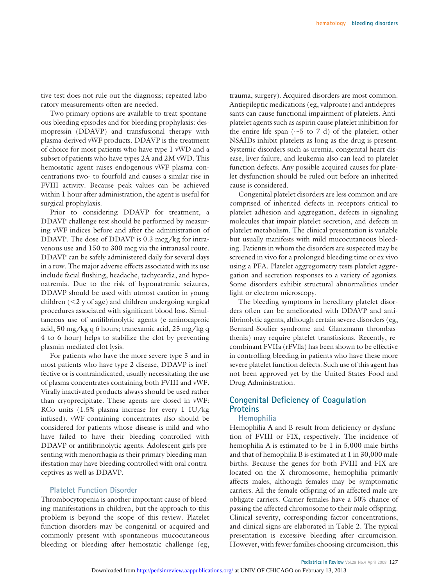tive test does not rule out the diagnosis; repeated laboratory measurements often are needed.

Two primary options are available to treat spontaneous bleeding episodes and for bleeding prophylaxis: desmopressin (DDAVP) and transfusional therapy with plasma-derived vWF products. DDAVP is the treatment of choice for most patients who have type 1 vWD and a subset of patients who have types 2A and 2M vWD. This hemostatic agent raises endogenous vWF plasma concentrations two- to fourfold and causes a similar rise in FVIII activity. Because peak values can be achieved within 1 hour after administration, the agent is useful for surgical prophylaxis.

Prior to considering DDAVP for treatment, a DDAVP challenge test should be performed by measuring vWF indices before and after the administration of DDAVP. The dose of DDAVP is 0.3 mcg/kg for intravenous use and 150 to 300 mcg via the intranasal route. DDAVP can be safely administered daily for several days in a row. The major adverse effects associated with its use include facial flushing, headache, tachycardia, and hyponatremia. Due to the risk of hyponatremic seizures, DDAVP should be used with utmost caution in young children  $(< 2 y$  of age) and children undergoing surgical procedures associated with significant blood loss. Simultaneous use of antifibrinolytic agents (e-aminocaproic acid, 50 mg/kg q 6 hours; tranexamic acid, 25 mg/kg q 4 to 6 hour) helps to stabilize the clot by preventing plasmin-mediated clot lysis.

For patients who have the more severe type 3 and in most patients who have type 2 disease, DDAVP is ineffective or is contraindicated, usually necessitating the use of plasma concentrates containing both FVIII and vWF. Virally inactivated products always should be used rather than cryoprecipitate. These agents are dosed in vWF: RCo units (1.5% plasma increase for every 1 IU/kg infused). vWF-containing concentrates also should be considered for patients whose disease is mild and who have failed to have their bleeding controlled with DDAVP or antifibrinolytic agents. Adolescent girls presenting with menorrhagia as their primary bleeding manifestation may have bleeding controlled with oral contraceptives as well as DDAVP.

#### **Platelet Function Disorder**

Thrombocytopenia is another important cause of bleeding manifestations in children, but the approach to this problem is beyond the scope of this review. Platelet function disorders may be congenital or acquired and commonly present with spontaneous mucocutaneous bleeding or bleeding after hemostatic challenge (eg, trauma, surgery). Acquired disorders are most common. Antiepileptic medications (eg, valproate) and antidepressants can cause functional impairment of platelets. Antiplatelet agents such as aspirin cause platelet inhibition for the entire life span ( $\sim$ 5 to 7 d) of the platelet; other NSAIDs inhibit platelets as long as the drug is present. Systemic disorders such as uremia, congenital heart disease, liver failure, and leukemia also can lead to platelet function defects. Any possible acquired causes for platelet dysfunction should be ruled out before an inherited cause is considered.

Congenital platelet disorders are less common and are comprised of inherited defects in receptors critical to platelet adhesion and aggregation, defects in signaling molecules that impair platelet secretion, and defects in platelet metabolism. The clinical presentation is variable but usually manifests with mild mucocutaneous bleeding. Patients in whom the disorders are suspected may be screened in vivo for a prolonged bleeding time or ex vivo using a PFA. Platelet aggregometry tests platelet aggregation and secretion responses to a variety of agonists. Some disorders exhibit structural abnormalities under light or electron microscopy.

The bleeding symptoms in hereditary platelet disorders often can be ameliorated with DDAVP and antifibrinolytic agents, although certain severe disorders (eg, Bernard-Soulier syndrome and Glanzmann thrombasthenia) may require platelet transfusions. Recently, recombinant FVIIa (rFVlla) has been shown to be effective in controlling bleeding in patients who have these more severe platelet function defects. Such use of this agent has not been approved yet by the United States Food and Drug Administration.

# **Congenital Deficiency of Coagulation Proteins**

# **Hemophilia**

Hemophilia A and B result from deficiency or dysfunction of FVIII or FIX, respectively. The incidence of hemophilia A is estimated to be 1 in 5,000 male births and that of hemophilia B is estimated at 1 in 30,000 male births. Because the genes for both FVIII and FIX are located on the X chromosome, hemophilia primarily affects males, although females may be symptomatic carriers. All the female offspring of an affected male are obligate carriers. Carrier females have a 50% chance of passing the affected chromosome to their male offspring. Clinical severity, corresponding factor concentrations, and clinical signs are elaborated in Table 2. The typical presentation is excessive bleeding after circumcision. However, with fewer families choosing circumcision, this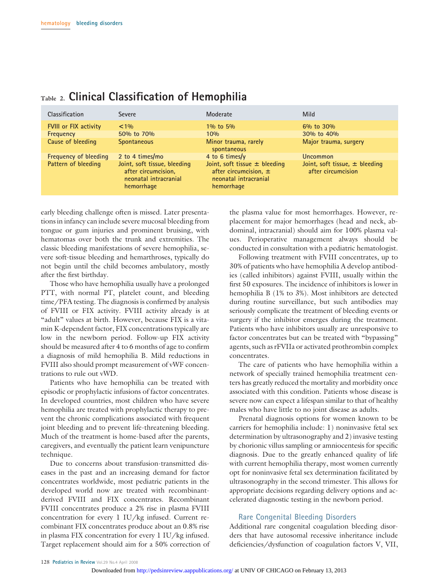| <b>Classification</b>        | <b>Severe</b>                                                                              | Moderate                                                                                              | Mild                                                     |
|------------------------------|--------------------------------------------------------------------------------------------|-------------------------------------------------------------------------------------------------------|----------------------------------------------------------|
| <b>FVIII or FIX activity</b> | $< 1\%$                                                                                    | 1% to 5%                                                                                              | 6% to 30%                                                |
| Frequency                    | 50% to 70%                                                                                 | 10%                                                                                                   | 30% to 40%                                               |
| Cause of bleeding            | <b>Spontaneous</b>                                                                         | Minor trauma, rarely<br>spontaneous                                                                   | Major trauma, surgery                                    |
| Frequency of bleeding        | 2 to 4 times/mo                                                                            | 4 to 6 times/ $v$                                                                                     | <b>Uncommon</b>                                          |
| Pattern of bleeding          | Joint, soft tissue, bleeding<br>after circumcision.<br>neonatal intracranial<br>hemorrhage | Joint, soft tissue $\pm$ bleeding<br>after circumcision. $\pm$<br>neonatal intracranial<br>hemorrhage | Joint, soft tissue, $\pm$ bleeding<br>after circumcision |

# **Table 2. Clinical Classification of Hemophilia**

early bleeding challenge often is missed. Later presentations in infancy can include severe mucosal bleeding from tongue or gum injuries and prominent bruising, with hematomas over both the trunk and extremities. The classic bleeding manifestations of severe hemophilia, severe soft-tissue bleeding and hemarthroses, typically do not begin until the child becomes ambulatory, mostly after the first birthday.

Those who have hemophilia usually have a prolonged PTT, with normal PT, platelet count, and bleeding time/PFA testing. The diagnosis is confirmed by analysis of FVIII or FIX activity. FVIII activity already is at "adult" values at birth. However, because FIX is a vitamin K-dependent factor, FIX concentrations typically are low in the newborn period. Follow-up FIX activity should be measured after 4 to 6 months of age to confirm a diagnosis of mild hemophilia B. Mild reductions in FVIII also should prompt measurement of vWF concentrations to rule out vWD.

Patients who have hemophilia can be treated with episodic or prophylactic infusions of factor concentrates. In developed countries, most children who have severe hemophilia are treated with prophylactic therapy to prevent the chronic complications associated with frequent joint bleeding and to prevent life-threatening bleeding. Much of the treatment is home-based after the parents, caregivers, and eventually the patient learn venipuncture technique.

Due to concerns about transfusion-transmitted diseases in the past and an increasing demand for factor concentrates worldwide, most pediatric patients in the developed world now are treated with recombinantderived FVIII and FIX concentrates. Recombinant FVIII concentrates produce a 2% rise in plasma FVIII concentration for every 1 IU/kg infused. Current recombinant FIX concentrates produce about an 0.8% rise in plasma FIX concentration for every 1 IU/kg infused. Target replacement should aim for a 50% correction of the plasma value for most hemorrhages. However, replacement for major hemorrhages (head and neck, abdominal, intracranial) should aim for 100% plasma values. Perioperative management always should be conducted in consultation with a pediatric hematologist.

Following treatment with FVIII concentrates, up to 30% of patients who have hemophilia A develop antibodies (called inhibitors) against FVIII, usually within the first 50 exposures. The incidence of inhibitors is lower in hemophilia B (1% to 3%). Most inhibitors are detected during routine surveillance, but such antibodies may seriously complicate the treatment of bleeding events or surgery if the inhibitor emerges during the treatment. Patients who have inhibitors usually are unresponsive to factor concentrates but can be treated with "bypassing" agents, such as rFVIIa or activated prothrombin complex concentrates.

The care of patients who have hemophilia within a network of specially trained hemophilia treatment centers has greatly reduced the mortality and morbidity once associated with this condition. Patients whose disease is severe now can expect a lifespan similar to that of healthy males who have little to no joint disease as adults.

Prenatal diagnosis options for women known to be carriers for hemophilia include: 1) noninvasive fetal sex determination by ultrasonography and 2) invasive testing by chorionic villus sampling or amniocentesis for specific diagnosis. Due to the greatly enhanced quality of life with current hemophilia therapy, most women currently opt for noninvasive fetal sex determination facilitated by ultrasonography in the second trimester. This allows for appropriate decisions regarding delivery options and accelerated diagnostic testing in the newborn period.

# **Rare Congenital Bleeding Disorders**

Additional rare congenital coagulation bleeding disorders that have autosomal recessive inheritance include deficiencies/dysfunction of coagulation factors V, VII,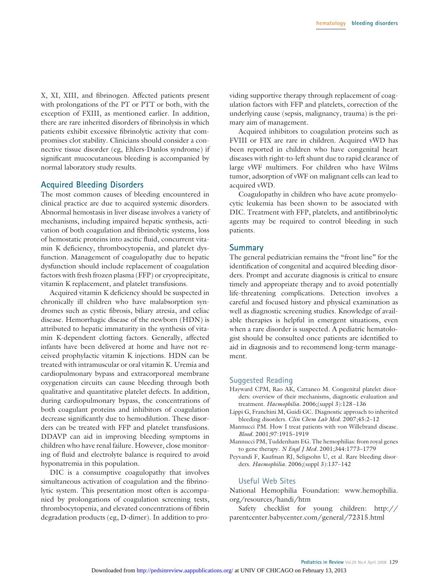X, XI, XIII, and fibrinogen. Affected patients present with prolongations of the PT or PTT or both, with the exception of FXIII, as mentioned earlier. In addition, there are rare inherited disorders of fibrinolysis in which patients exhibit excessive fibrinolytic activity that compromises clot stability. Clinicians should consider a connective tissue disorder (eg, Ehlers-Danlos syndrome) if significant mucocutaneous bleeding is accompanied by normal laboratory study results.

## **Acquired Bleeding Disorders**

The most common causes of bleeding encountered in clinical practice are due to acquired systemic disorders. Abnormal hemostasis in liver disease involves a variety of mechanisms, including impaired hepatic synthesis, activation of both coagulation and fibrinolytic systems, loss of hemostatic proteins into ascitic fluid, concurrent vitamin K deficiency, thrombocytopenia, and platelet dysfunction. Management of coagulopathy due to hepatic dysfunction should include replacement of coagulation factors with fresh frozen plasma (FFP) or cryoprecipitate, vitamin K replacement, and platelet transfusions.

Acquired vitamin K deficiency should be suspected in chronically ill children who have malabsorption syndromes such as cystic fibrosis, biliary atresia, and celiac disease. Hemorrhagic disease of the newborn (HDN) is attributed to hepatic immaturity in the synthesis of vitamin K-dependent clotting factors. Generally, affected infants have been delivered at home and have not received prophylactic vitamin K injections. HDN can be treated with intramuscular or oral vitamin K. Uremia and cardiopulmonary bypass and extracorporeal membrane oxygenation circuits can cause bleeding through both qualitative and quantitative platelet defects. In addition, during cardiopulmonary bypass, the concentrations of both coagulant proteins and inhibitors of coagulation decrease significantly due to hemodilution. These disorders can be treated with FFP and platelet transfusions. DDAVP can aid in improving bleeding symptoms in children who have renal failure. However, close monitoring of fluid and electrolyte balance is required to avoid hyponatremia in this population.

DIC is a consumptive coagulopathy that involves simultaneous activation of coagulation and the fibrinolytic system. This presentation most often is accompanied by prolongations of coagulation screening tests, thrombocytopenia, and elevated concentrations of fibrin degradation products (eg, D-dimer). In addition to providing supportive therapy through replacement of coagulation factors with FFP and platelets, correction of the underlying cause (sepsis, malignancy, trauma) is the primary aim of management.

Acquired inhibitors to coagulation proteins such as FVIII or FIX are rare in children. Acquired vWD has been reported in children who have congenital heart diseases with right-to-left shunt due to rapid clearance of large vWF multimers. For children who have Wilms tumor, adsorption of vWF on malignant cells can lead to acquired vWD.

Coagulopathy in children who have acute promyelocytic leukemia has been shown to be associated with DIC. Treatment with FFP, platelets, and antifibrinolytic agents may be required to control bleeding in such patients.

#### **Summary**

The general pediatrician remains the "front line" for the identification of congenital and acquired bleeding disorders. Prompt and accurate diagnosis is critical to ensure timely and appropriate therapy and to avoid potentially life-threatening complications. Detection involves a careful and focused history and physical examination as well as diagnostic screening studies. Knowledge of available therapies is helpful in emergent situations, even when a rare disorder is suspected. A pediatric hematologist should be consulted once patients are identified to aid in diagnosis and to recommend long-term management.

#### **Suggested Reading**

- Hayward CPM, Rao AK, Cattaneo M. Congenital platelet disorders: overview of their mechanisms, diagnostic evaluation and treatment. *Haemophilia.* 2006;(suppl 3):128 –136
- Lippi G, Franchini M, Guidi GC. Diagnostic approach to inherited bleeding disorders. *Clin Chem Lab Med.* 2007;45:2–12
- Mannucci PM. How I treat patients with von Willebrand disease. *Blood.* 2001;97:1915–1919
- Mannucci PM, Tuddenham EG. The hemophilias: from royal genes to gene therapy. *N Engl J Med.* 2001;344:1773–1779
- Peyvandi F, Kaufman RJ, Seligsohn U, et al. Rare bleeding disorders. *Haemophilia.* 2006;(suppl 3):137–142

#### **Useful Web Sites**

National Hemophilia Foundation: www.hemophilia. org/resources/handi/htm

Safety checklist for young children: http:// parentcenter.babycenter.com/general/72315.html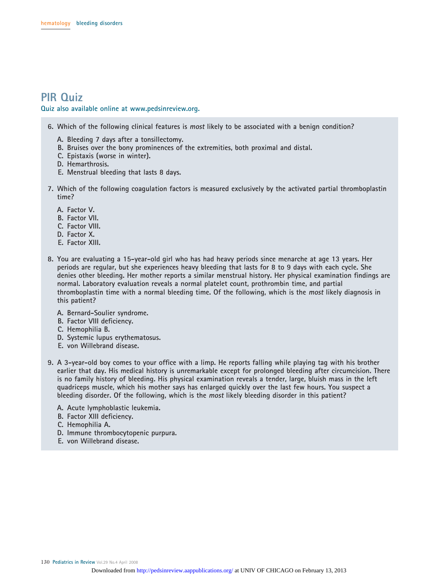# **PIR Quiz**

**Quiz also available online at www.pedsinreview.org.**

**6. Which of the following clinical features is most likely to be associated with a benign condition?**

- **A. Bleeding 7 days after a tonsillectomy.**
- **B. Bruises over the bony prominences of the extremities, both proximal and distal.**
- **C. Epistaxis (worse in winter).**
- **D. Hemarthrosis.**
- **E. Menstrual bleeding that lasts 8 days.**
- **7. Which of the following coagulation factors is measured exclusively by the activated partial thromboplastin time?**
	- **A. Factor V.**
	- **B. Factor VII.**
	- **C. Factor VIII.**
	- **D. Factor X.**
	- **E. Factor XIII.**
- **8. You are evaluating a 15-year-old girl who has had heavy periods since menarche at age 13 years. Her periods are regular, but she experiences heavy bleeding that lasts for 8 to 9 days with each cycle. She denies other bleeding. Her mother reports a similar menstrual history. Her physical examination findings are normal. Laboratory evaluation reveals a normal platelet count, prothrombin time, and partial thromboplastin time with a normal bleeding time. Of the following, which is the most likely diagnosis in this patient?**
	- **A. Bernard-Soulier syndrome.**
	- **B. Factor VIII deficiency.**
	- **C. Hemophilia B.**
	- **D. Systemic lupus erythematosus.**
	- **E. von Willebrand disease.**
- **9. A 3-year-old boy comes to your office with a limp. He reports falling while playing tag with his brother earlier that day. His medical history is unremarkable except for prolonged bleeding after circumcision. There is no family history of bleeding. His physical examination reveals a tender, large, bluish mass in the left quadriceps muscle, which his mother says has enlarged quickly over the last few hours. You suspect a bleeding disorder. Of the following, which is the most likely bleeding disorder in this patient?**
	- **A. Acute lymphoblastic leukemia.**
	- **B. Factor XIII deficiency.**
	- **C. Hemophilia A.**
	- **D. Immune thrombocytopenic purpura.**
	- **E. von Willebrand disease.**